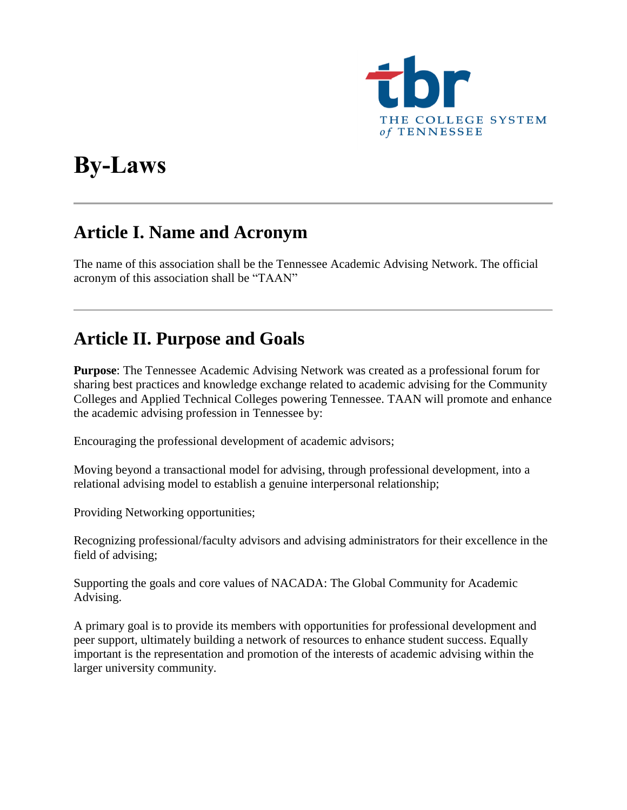

# **By-Laws**

#### **Article I. Name and Acronym**

The name of this association shall be the Tennessee Academic Advising Network. The official acronym of this association shall be "TAAN"

#### **Article II. Purpose and Goals**

**Purpose**: The Tennessee Academic Advising Network was created as a professional forum for sharing best practices and knowledge exchange related to academic advising for the Community Colleges and Applied Technical Colleges powering Tennessee. TAAN will promote and enhance the academic advising profession in Tennessee by:

Encouraging the professional development of academic advisors;

Moving beyond a transactional model for advising, through professional development, into a relational advising model to establish a genuine interpersonal relationship;

Providing Networking opportunities;

Recognizing professional/faculty advisors and advising administrators for their excellence in the field of advising;

Supporting the goals and core values of NACADA: The Global Community for Academic Advising.

A primary goal is to provide its members with opportunities for professional development and peer support, ultimately building a network of resources to enhance student success. Equally important is the representation and promotion of the interests of academic advising within the larger university community.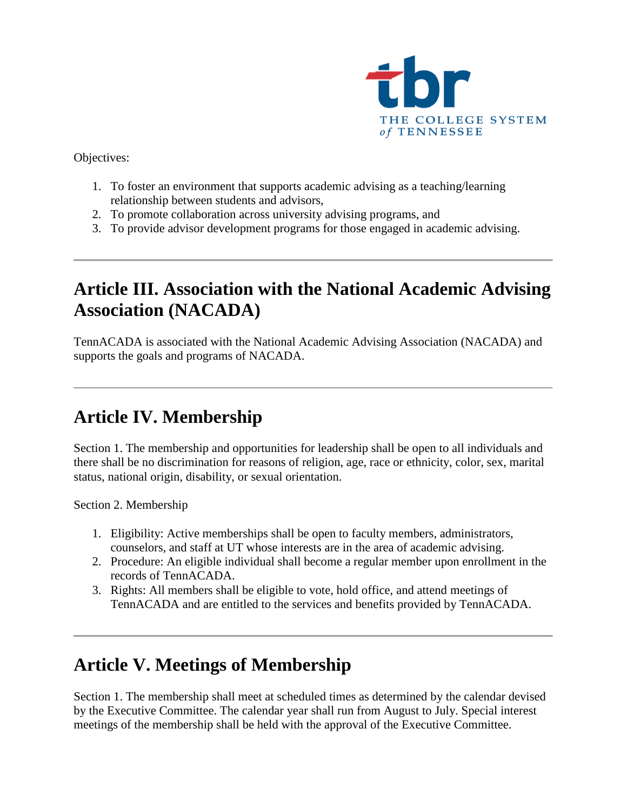

Objectives:

- 1. To foster an environment that supports academic advising as a teaching/learning relationship between students and advisors,
- 2. To promote collaboration across university advising programs, and
- 3. To provide advisor development programs for those engaged in academic advising.

## **Article III. Association with the National Academic Advising Association (NACADA)**

TennACADA is associated with the National Academic Advising Association (NACADA) and supports the goals and programs of NACADA.

# **Article IV. Membership**

Section 1. The membership and opportunities for leadership shall be open to all individuals and there shall be no discrimination for reasons of religion, age, race or ethnicity, color, sex, marital status, national origin, disability, or sexual orientation.

Section 2. Membership

- 1. Eligibility: Active memberships shall be open to faculty members, administrators, counselors, and staff at UT whose interests are in the area of academic advising.
- 2. Procedure: An eligible individual shall become a regular member upon enrollment in the records of TennACADA.
- 3. Rights: All members shall be eligible to vote, hold office, and attend meetings of TennACADA and are entitled to the services and benefits provided by TennACADA.

### **Article V. Meetings of Membership**

Section 1. The membership shall meet at scheduled times as determined by the calendar devised by the Executive Committee. The calendar year shall run from August to July. Special interest meetings of the membership shall be held with the approval of the Executive Committee.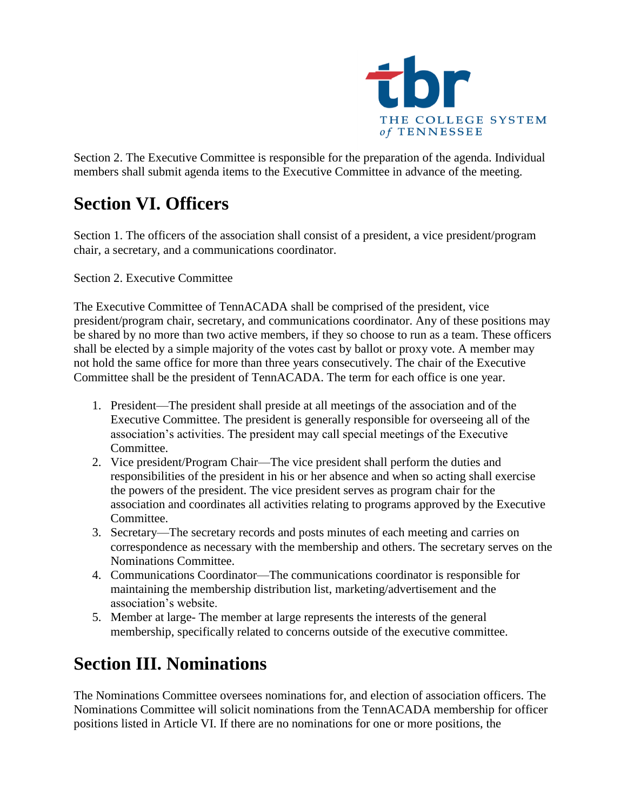

Section 2. The Executive Committee is responsible for the preparation of the agenda. Individual members shall submit agenda items to the Executive Committee in advance of the meeting.

### **Section VI. Officers**

Section 1. The officers of the association shall consist of a president, a vice president/program chair, a secretary, and a communications coordinator.

Section 2. Executive Committee

The Executive Committee of TennACADA shall be comprised of the president, vice president/program chair, secretary, and communications coordinator. Any of these positions may be shared by no more than two active members, if they so choose to run as a team. These officers shall be elected by a simple majority of the votes cast by ballot or proxy vote. A member may not hold the same office for more than three years consecutively. The chair of the Executive Committee shall be the president of TennACADA. The term for each office is one year.

- 1. President—The president shall preside at all meetings of the association and of the Executive Committee. The president is generally responsible for overseeing all of the association's activities. The president may call special meetings of the Executive Committee.
- 2. Vice president/Program Chair—The vice president shall perform the duties and responsibilities of the president in his or her absence and when so acting shall exercise the powers of the president. The vice president serves as program chair for the association and coordinates all activities relating to programs approved by the Executive Committee.
- 3. Secretary—The secretary records and posts minutes of each meeting and carries on correspondence as necessary with the membership and others. The secretary serves on the Nominations Committee.
- 4. Communications Coordinator—The communications coordinator is responsible for maintaining the membership distribution list, marketing/advertisement and the association's website.
- 5. Member at large- The member at large represents the interests of the general membership, specifically related to concerns outside of the executive committee.

### **Section III. Nominations**

The Nominations Committee oversees nominations for, and election of association officers. The Nominations Committee will solicit nominations from the TennACADA membership for officer positions listed in Article VI. If there are no nominations for one or more positions, the